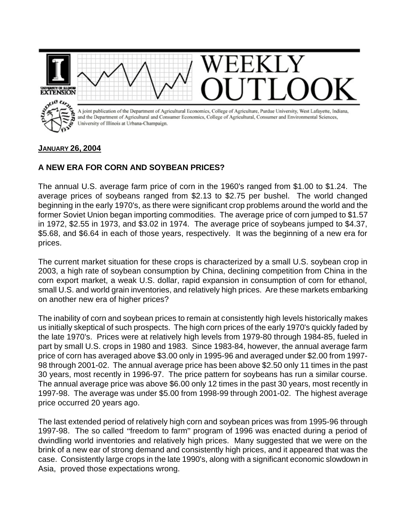

## **JANUARY 26, 2004**

## **A NEW ERA FOR CORN AND SOYBEAN PRICES?**

The annual U.S. average farm price of corn in the 1960's ranged from \$1.00 to \$1.24. The average prices of soybeans ranged from \$2.13 to \$2.75 per bushel. The world changed beginning in the early 1970's, as there were significant crop problems around the world and the former Soviet Union began importing commodities. The average price of corn jumped to \$1.57 in 1972, \$2.55 in 1973, and \$3.02 in 1974. The average price of soybeans jumped to \$4.37, \$5.68, and \$6.64 in each of those years, respectively. It was the beginning of a new era for prices.

The current market situation for these crops is characterized by a small U.S. soybean crop in 2003, a high rate of soybean consumption by China, declining competition from China in the corn export market, a weak U.S. dollar, rapid expansion in consumption of corn for ethanol, small U.S. and world grain inventories, and relatively high prices. Are these markets embarking on another new era of higher prices?

The inability of corn and soybean prices to remain at consistently high levels historically makes us initially skeptical of such prospects. The high corn prices of the early 1970's quickly faded by the late 1970's. Prices were at relatively high levels from 1979-80 through 1984-85, fueled in part by small U.S. crops in 1980 and 1983. Since 1983-84, however, the annual average farm price of corn has averaged above \$3.00 only in 1995-96 and averaged under \$2.00 from 1997- 98 through 2001-02. The annual average price has been above \$2.50 only 11 times in the past 30 years, most recently in 1996-97. The price pattern for soybeans has run a similar course. The annual average price was above \$6.00 only 12 times in the past 30 years, most recently in 1997-98. The average was under \$5.00 from 1998-99 through 2001-02. The highest average price occurred 20 years ago.

The last extended period of relatively high corn and soybean prices was from 1995-96 through 1997-98. The so called "freedom to farm" program of 1996 was enacted during a period of dwindling world inventories and relatively high prices. Many suggested that we were on the brink of a new ear of strong demand and consistently high prices, and it appeared that was the case. Consistently large crops in the late 1990's, along with a significant economic slowdown in Asia, proved those expectations wrong.